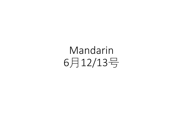# Mandarin 6月12/13号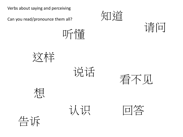Verbs about saying and perceiving

Can you read/pronounce them all?

















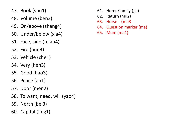- 47. Book (shu1)
- 48. Volume (ben3)
- 49. On/above (shang4)
- 50. Under/below (xia4)
- 51. Face, side (mian4)
- 52. Fire (huo3)
- 53. Vehicle (che1)
- 54. Very (hen3)
- 55. Good (hao3)
- 56. Peace (an1)
- 57. Door (men2)
- 58. To want, need, will (yao4)
- 59. North (bei3)
- 60. Capital (jing1)
- 61. Home/family (jia)
- 62. Return (hui2)
- 63. Horse (ma3
- 64. Question marker (ma)
- 65. Mum (ma1)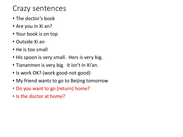#### Crazy sentences

- The doctor's book
- Are you in Xi an?
- Your book is on top
- Outside Xi an
- He is too small
- His spoon is very small. Hers is very big.
- Tiananmen is very big. It isn't in Xi'an.
- Is work OK? (work good-not-good)
- My friend wants to go to Beijing tomorrow
- Do you want to go (return) home?
- Is the doctor at home?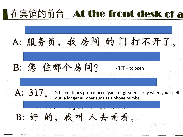## ▌在宾馆的前台 At the front desk of a

A: 服务员, 我房间的门打不开了。

B: 您 住哪个房间? 打开 = to open

Yi1 sometimes pronounced 'yao' for greater clarity when you 'spell out' a longer number such as a phone number

## B: 好的, 我叫人去看看。

A:  $317<sub>°</sub>$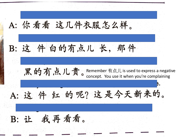A: 你看看 这几件衣服怎么样。 B: 这件白的有点儿长, 那件 黑的有点儿贵。Remember 有点儿 is used to express a negative concept. You use it when you're complainingA: 这件红的呢? 这是今天新来的。 B: 让 我再看看。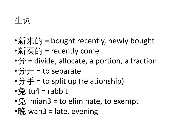#### 生词

### •新来的 = bought recently, newly bought

- •新买的 = recently come
- $\rightarrow \rightarrow +$  = divide, allocate, a portion, a fraction
- • $\bigoplus$   $\overline{H}$  = to separate
- •分手 = to split up (relationship)
- • $\hat{\mathcal{R}}$ , tu4 = rabbit
- • $\hat{\varphi}$ , mian3 = to eliminate, to exempt
- •晚 wan3 = late, evening